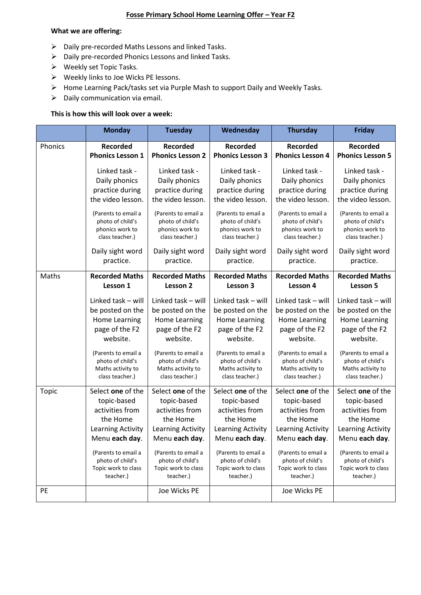# **Fosse Primary School Home Learning Offer – Year F2**

#### **What we are offering:**

- ➢ Daily pre-recorded Maths Lessons and linked Tasks.
- ➢ Daily pre-recorded Phonics Lessons and linked Tasks.
- ➢ Weekly set Topic Tasks.
- ➢ Weekly links to Joe Wicks PE lessons.
- ➢ Home Learning Pack/tasks set via Purple Mash to support Daily and Weekly Tasks.
- $\triangleright$  Daily communication via email.

# **This is how this will look over a week:**

|         | <b>Monday</b>                                                                                                                                                                         | <b>Tuesday</b>                                                                                                                                                                        | Wednesday                                                                                                                                                                             | <b>Thursday</b>                                                                                                                                                                       | <b>Friday</b>                                                                                                                                                                         |
|---------|---------------------------------------------------------------------------------------------------------------------------------------------------------------------------------------|---------------------------------------------------------------------------------------------------------------------------------------------------------------------------------------|---------------------------------------------------------------------------------------------------------------------------------------------------------------------------------------|---------------------------------------------------------------------------------------------------------------------------------------------------------------------------------------|---------------------------------------------------------------------------------------------------------------------------------------------------------------------------------------|
| Phonics | <b>Recorded</b>                                                                                                                                                                       | <b>Recorded</b>                                                                                                                                                                       | Recorded                                                                                                                                                                              | <b>Recorded</b>                                                                                                                                                                       | <b>Recorded</b>                                                                                                                                                                       |
|         | <b>Phonics Lesson 1</b>                                                                                                                                                               | <b>Phonics Lesson 2</b>                                                                                                                                                               | <b>Phonics Lesson 3</b>                                                                                                                                                               | <b>Phonics Lesson 4</b>                                                                                                                                                               | <b>Phonics Lesson 5</b>                                                                                                                                                               |
|         | Linked task -                                                                                                                                                                         | Linked task -                                                                                                                                                                         | Linked task -                                                                                                                                                                         | Linked task -                                                                                                                                                                         | Linked task -                                                                                                                                                                         |
|         | Daily phonics                                                                                                                                                                         | Daily phonics                                                                                                                                                                         | Daily phonics                                                                                                                                                                         | Daily phonics                                                                                                                                                                         | Daily phonics                                                                                                                                                                         |
|         | practice during                                                                                                                                                                       | practice during                                                                                                                                                                       | practice during                                                                                                                                                                       | practice during                                                                                                                                                                       | practice during                                                                                                                                                                       |
|         | the video lesson.                                                                                                                                                                     | the video lesson.                                                                                                                                                                     | the video lesson.                                                                                                                                                                     | the video lesson.                                                                                                                                                                     | the video lesson.                                                                                                                                                                     |
|         | (Parents to email a<br>photo of child's<br>phonics work to<br>class teacher.)                                                                                                         | (Parents to email a<br>photo of child's<br>phonics work to<br>class teacher.)                                                                                                         | (Parents to email a<br>photo of child's<br>phonics work to<br>class teacher.)                                                                                                         | (Parents to email a<br>photo of child's<br>phonics work to<br>class teacher.)                                                                                                         | (Parents to email a<br>photo of child's<br>phonics work to<br>class teacher.)                                                                                                         |
|         | Daily sight word<br>practice.                                                                                                                                                         | Daily sight word<br>practice.                                                                                                                                                         | Daily sight word<br>practice.                                                                                                                                                         | Daily sight word<br>practice.                                                                                                                                                         | Daily sight word<br>practice.                                                                                                                                                         |
| Maths   | <b>Recorded Maths</b>                                                                                                                                                                 | <b>Recorded Maths</b>                                                                                                                                                                 | <b>Recorded Maths</b>                                                                                                                                                                 | <b>Recorded Maths</b>                                                                                                                                                                 | <b>Recorded Maths</b>                                                                                                                                                                 |
|         | Lesson 1                                                                                                                                                                              | Lesson 2                                                                                                                                                                              | Lesson 3                                                                                                                                                                              | Lesson 4                                                                                                                                                                              | Lesson 5                                                                                                                                                                              |
|         | Linked task - will<br>be posted on the<br>Home Learning<br>page of the F2<br>website.<br>(Parents to email a<br>photo of child's<br>Maths activity to                                 | Linked task - will<br>be posted on the<br>Home Learning<br>page of the F2<br>website.<br>(Parents to email a<br>photo of child's<br>Maths activity to                                 | Linked task - will<br>be posted on the<br>Home Learning<br>page of the F2<br>website.<br>(Parents to email a<br>photo of child's<br>Maths activity to                                 | Linked task - will<br>be posted on the<br>Home Learning<br>page of the F2<br>website.<br>(Parents to email a<br>photo of child's<br>Maths activity to                                 | Linked task - will<br>be posted on the<br>Home Learning<br>page of the F2<br>website.<br>(Parents to email a<br>photo of child's<br>Maths activity to                                 |
|         | class teacher.)                                                                                                                                                                       | class teacher.)                                                                                                                                                                       | class teacher.)                                                                                                                                                                       | class teacher.)                                                                                                                                                                       | class teacher.)                                                                                                                                                                       |
| Topic   | Select one of the<br>topic-based<br>activities from<br>the Home<br>Learning Activity<br>Menu each day.<br>(Parents to email a<br>photo of child's<br>Topic work to class<br>teacher.) | Select one of the<br>topic-based<br>activities from<br>the Home<br>Learning Activity<br>Menu each day.<br>(Parents to email a<br>photo of child's<br>Topic work to class<br>teacher.) | Select one of the<br>topic-based<br>activities from<br>the Home<br>Learning Activity<br>Menu each day.<br>(Parents to email a<br>photo of child's<br>Topic work to class<br>teacher.) | Select one of the<br>topic-based<br>activities from<br>the Home<br>Learning Activity<br>Menu each day.<br>(Parents to email a<br>photo of child's<br>Topic work to class<br>teacher.) | Select one of the<br>topic-based<br>activities from<br>the Home<br>Learning Activity<br>Menu each day.<br>(Parents to email a<br>photo of child's<br>Topic work to class<br>teacher.) |
| PE      |                                                                                                                                                                                       | Joe Wicks PE                                                                                                                                                                          |                                                                                                                                                                                       | Joe Wicks PE                                                                                                                                                                          |                                                                                                                                                                                       |